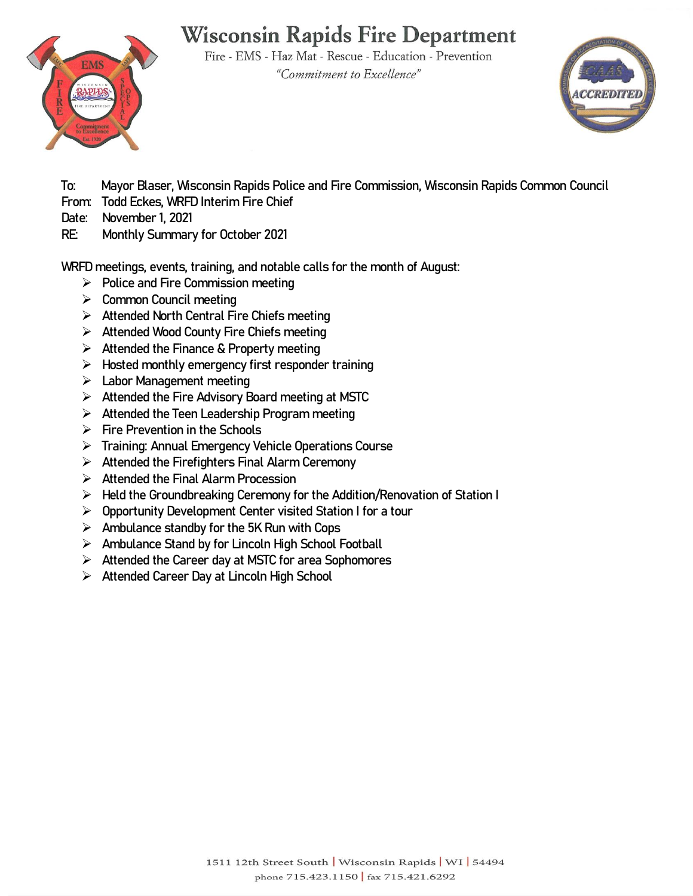# **Wisconsin Rapids Fire Department**

Fire - EMS - Haz Mat - Rescue - Education - Prevention "Commitment to Excellence"





**To: Mayor Blaser, Wisconsin Rapids Police and Fire Commission, Wisconsin Rapids Common Council** 

- **From: Todd Eckes, WRFD Interim Fire Chief**
- **Date: November 1, 2021**
- **RE: Monthly Summary for October 2021**

**WRFD meetings, events, training, and notable calls for the month of August:**

- **Police and Fire Commission meeting**
- **Common Council meeting**
- **Attended North Central Fire Chiefs meeting**
- **Attended Wood County Fire Chiefs meeting**
- **Attended the Finance & Property meeting**
- **Hosted monthly emergency first responder training**
- **Labor Management meeting**
- **Attended the Fire Advisory Board meeting at MSTC**
- **Attended the Teen Leadership Program meeting**
- **Fire Prevention in the Schools**
- **Training: Annual Emergency Vehicle Operations Course**
- **Attended the Firefighters Final Alarm Ceremony**
- **Attended the Final Alarm Procession**
- **Held the Groundbreaking Ceremony for the Addition/Renovation of Station I**
- **Opportunity Development Center visited Station I for a tour**
- **Ambulance standby for the 5K Run with Cops**
- **Ambulance Stand by for Lincoln High School Football**
- **Attended the Career day at MSTC for area Sophomores**
- **Attended Career Day at Lincoln High School**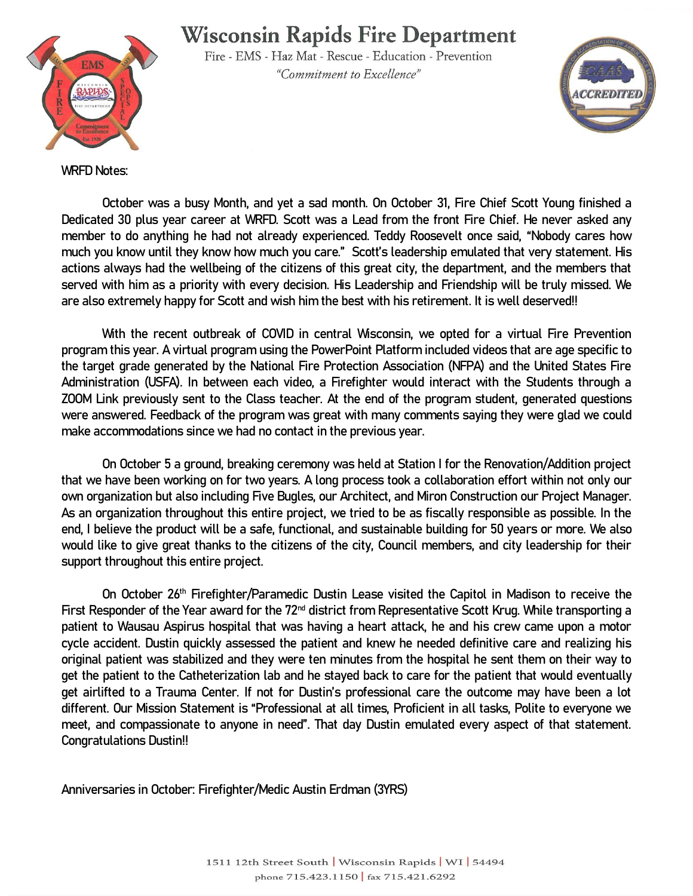### **Wisconsin Rapids Fire Department**



Fire - EMS - Haz Mat - Rescue - Education - Prevention "Commitment to Excellence"



**WRFD Notes:**

**October was a busy Month, and yet a sad month. On October 31, Fire Chief Scott Young finished a Dedicated 30 plus year career at WRFD. Scott was a Lead from the front Fire Chief. He never asked any member to do anything he had not already experienced. Teddy Roosevelt once said, "Nobody cares how much you know until they know how much you care." Scott's leadership emulated that very statement. His actions always had the wellbeing of the citizens of this great city, the department, and the members that served with him as a priority with every decision. His Leadership and Friendship will be truly missed. We are also extremely happy for Scott and wish him the best with his retirement. It is well deserved!!**

**With the recent outbreak of COVID in central Wisconsin, we opted for a virtual Fire Prevention program this year. A virtual program using the PowerPoint Platform included videos that are age specific to the target grade generated by the National Fire Protection Association (NFPA) and the United States Fire Administration (USFA). In between each video, a Firefighter would interact with the Students through a ZOOM Link previously sent to the Class teacher. At the end of the program student, generated questions were answered. Feedback of the program was great with many comments saying they were glad we could make accommodations since we had no contact in the previous year.** 

**On October 5 a ground, breaking ceremony was held at Station I for the Renovation/Addition project that we have been working on for two years. A long process took a collaboration effort within not only our own organization but also including Five Bugles, our Architect, and Miron Construction our Project Manager. As an organization throughout this entire project, we tried to be as fiscally responsible as possible. In the end, I believe the product will be a safe, functional, and sustainable building for 50 years or more. We also would like to give great thanks to the citizens of the city, Council members, and city leadership for their support throughout this entire project.** 

**On October 26th Firefighter/Paramedic Dustin Lease visited the Capitol in Madison to receive the First Responder of the Year award for the 72nd district from Representative Scott Krug. While transporting a patient to Wausau Aspirus hospital that was having a heart attack, he and his crew came upon a motor cycle accident. Dustin quickly assessed the patient and knew he needed definitive care and realizing his original patient was stabilized and they were ten minutes from the hospital he sent them on their way to get the patient to the Catheterization lab and he stayed back to care for the patient that would eventually get airlifted to a Trauma Center. If not for Dustin's professional care the outcome may have been a lot different. Our Mission Statement is "Professional at all times, Proficient in all tasks, Polite to everyone we meet, and compassionate to anyone in need". That day Dustin emulated every aspect of that statement. Congratulations Dustin!!**

**Anniversaries in October: Firefighter/Medic Austin Erdman (3YRS)**